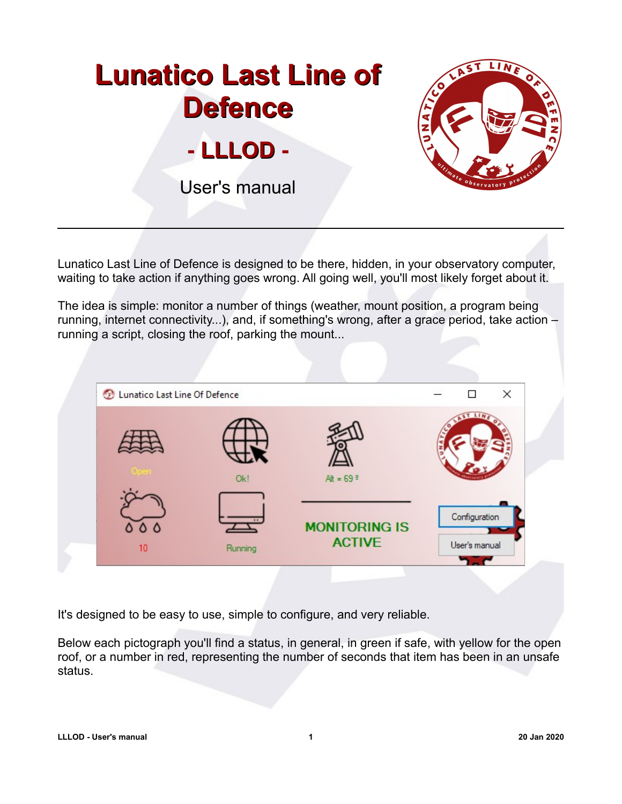

Lunatico Last Line of Defence is designed to be there, hidden, in your observatory computer, waiting to take action if anything goes wrong. All going well, you'll most likely forget about it.

The idea is simple: monitor a number of things (weather, mount position, a program being running, internet connectivity...), and, if something's wrong, after a grace period, take action – running a script, closing the roof, parking the mount...



It's designed to be easy to use, simple to configure, and very reliable.

Below each pictograph you'll find a status, in general, in green if safe, with yellow for the open roof, or a number in red, representing the number of seconds that item has been in an unsafe status.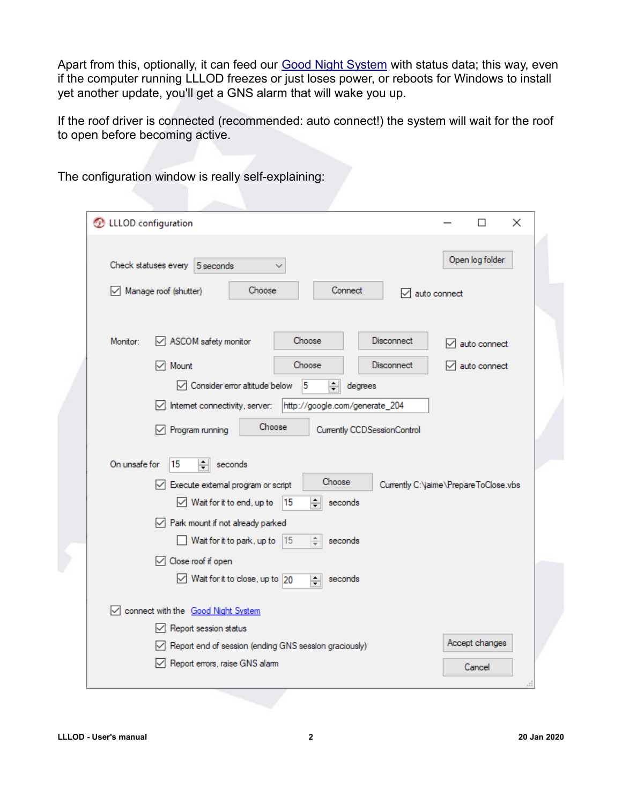Apart from this, optionally, it can feed our [Good Night System](http://lunatico.es/ourproducts-gns.html) with status data; this way, even if the computer running LLLOD freezes or just loses power, or reboots for Windows to install yet another update, you'll get a GNS alarm that will wake you up.

If the roof driver is connected (recommended: auto connect!) the system will wait for the roof to open before becoming active.

The configuration window is really self-explaining:

| <b>E</b> LLLOD configuration                                                                                                                                                                                           | ×<br>П                                                                                             |
|------------------------------------------------------------------------------------------------------------------------------------------------------------------------------------------------------------------------|----------------------------------------------------------------------------------------------------|
| Check statuses every<br>5 seconds<br>Connect<br>Choose<br>$\vee$ Manage roof (shutter)                                                                                                                                 | Open log folder<br>$\sqrt{\phantom{a}}$ auto connect                                               |
| ASCOM safety monitor<br>Choose<br>Monitor:<br>Choose<br>$\triangledown$ Mount                                                                                                                                          | <b>Disconnect</b><br>$\sqrt{\phantom{a}}$ auto connect<br><b>Disconnect</b><br>$\vee$ auto connect |
| Consider error altitude below<br>5<br>$\div$<br>degrees<br>$\sqrt{\phantom{a}}$ Internet connectivity, server:<br>http://google.com/generate_204<br>Choose<br>$\sqrt{}$ Program running<br>Currently CCDSessionControl |                                                                                                    |
| On unsafe for<br>싂<br>15<br>seconds<br>Choose<br>Execute external program or script<br>$\sqrt{\phantom{a}}$ Wait for it to end, up to<br>15<br>÷<br>seconds<br>Park mount if not already parked                        | Currently C:\jaime\PrepareToClose.vbs                                                              |
| Wait for it to park, up to $ 15 $<br>÷<br>seconds<br>○ Close roof if open<br>$\vee$ Wait for it to close, up to 20<br>seconds<br>÷                                                                                     |                                                                                                    |
| connect with the Good Night System<br>$\sqrt{\phantom{a}}$ Report session status<br>$\sqrt{\phantom{a}}$ Report end of session (ending GNS session graciously)                                                         | Accept changes                                                                                     |
| Report errors, raise GNS alarm                                                                                                                                                                                         | Cancel                                                                                             |